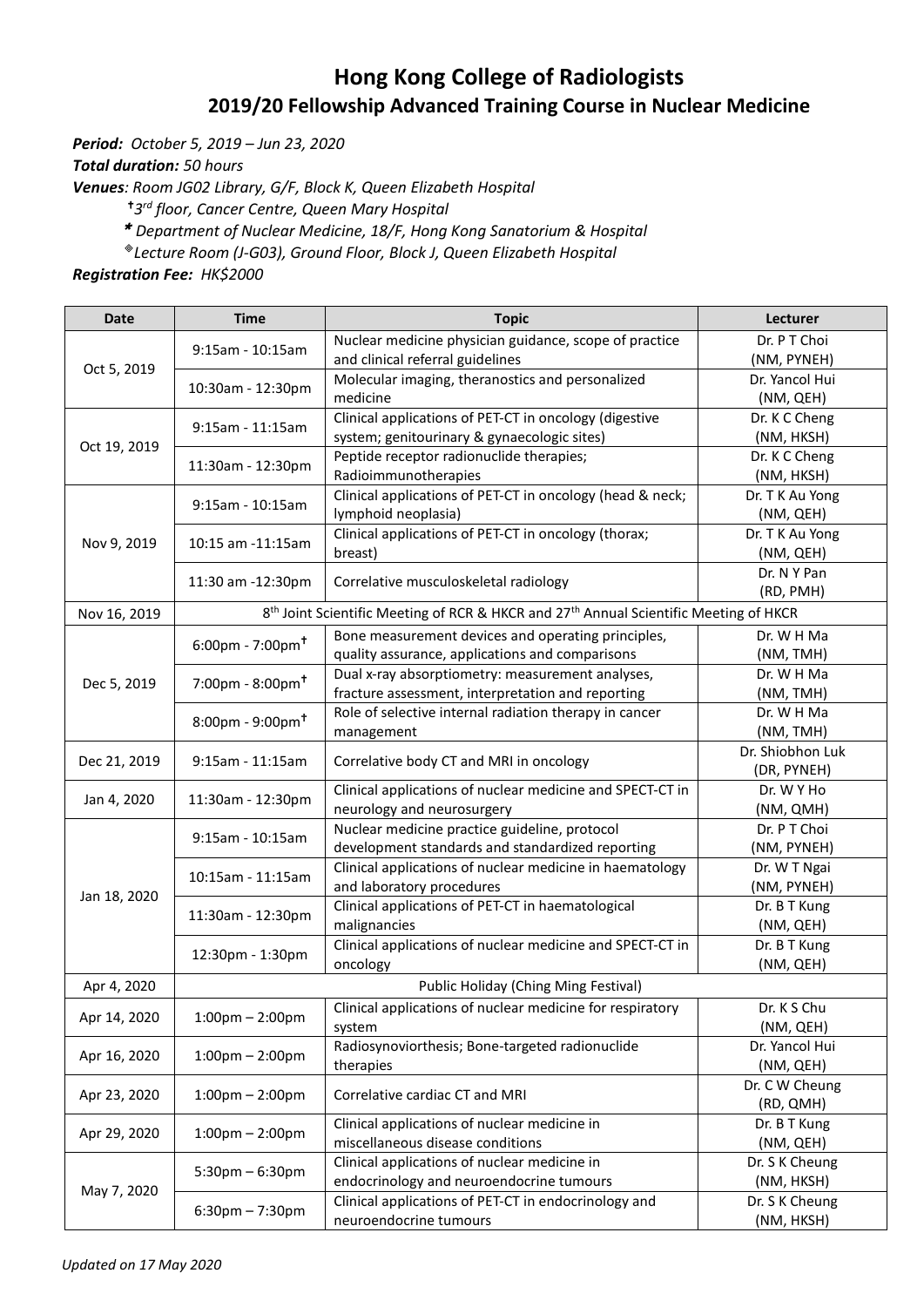## **Hong Kong College of Radiologists 2019/20 Fellowship Advanced Training Course in Nuclear Medicine**

*Period: October 5, 2019 – Jun 23, 2020*

*Total duration: 50 hours*

*Venues: Room JG02 Library, G/F, Block K, Queen Elizabeth Hospital*

*3 rd floor, Cancer Centre, Queen Mary Hospital* 

*Department of Nuclear Medicine, 18/F, [Hong Kong Sanatorium & Hospital](http://www.hksh.com/en/about-us.php)*

*Lecture Room (J-G03), Ground Floor, Block J, Queen Elizabeth Hospital*

*Registration Fee: HK\$2000*

| <b>Date</b>  | <b>Time</b>                                                                                                                                                                                                                                                                                                                                                                                                                                                                                                                                                                                                                                 | <b>Topic</b>                                                                                                  | Lecturer                    |
|--------------|---------------------------------------------------------------------------------------------------------------------------------------------------------------------------------------------------------------------------------------------------------------------------------------------------------------------------------------------------------------------------------------------------------------------------------------------------------------------------------------------------------------------------------------------------------------------------------------------------------------------------------------------|---------------------------------------------------------------------------------------------------------------|-----------------------------|
|              | $9:15$ am - 10:15am<br>Oct 5, 2019<br>10:30am - 12:30pm<br>medicine<br>9:15am - 11:15am<br>11:30am - 12:30pm<br>Radioimmunotherapies<br>9:15am - 10:15am<br>lymphoid neoplasia)<br>Nov 9, 2019<br>10:15 am -11:15 am<br>breast)<br>11:30 am -12:30pm<br>Nov 16, 2019<br>$6:00 \text{pm} - 7:00 \text{pm}^{\dagger}$<br>$7:00 \text{pm} - 8:00 \text{pm} +$<br>Dec 5, 2019<br>$8:00 \text{pm} - 9:00 \text{pm}^{\dagger}$<br>management<br>9:15am - 11:15am<br>Jan 4, 2020<br>11:30am - 12:30pm<br>9:15am - 10:15am<br>10:15am - 11:15am<br>Jan 18, 2020<br>11:30am - 12:30pm<br>malignancies<br>12:30pm - 1:30pm<br>oncology<br>Apr 4, 2020 | Nuclear medicine physician guidance, scope of practice                                                        | Dr. P T Choi                |
|              |                                                                                                                                                                                                                                                                                                                                                                                                                                                                                                                                                                                                                                             | and clinical referral guidelines                                                                              | (NM, PYNEH)                 |
|              |                                                                                                                                                                                                                                                                                                                                                                                                                                                                                                                                                                                                                                             | Molecular imaging, theranostics and personalized                                                              | Dr. Yancol Hui              |
|              |                                                                                                                                                                                                                                                                                                                                                                                                                                                                                                                                                                                                                                             |                                                                                                               | (NM, QEH)                   |
| Oct 19, 2019 |                                                                                                                                                                                                                                                                                                                                                                                                                                                                                                                                                                                                                                             | Clinical applications of PET-CT in oncology (digestive                                                        | Dr. K C Cheng               |
|              |                                                                                                                                                                                                                                                                                                                                                                                                                                                                                                                                                                                                                                             | system; genitourinary & gynaecologic sites)                                                                   | (NM, HKSH)                  |
|              |                                                                                                                                                                                                                                                                                                                                                                                                                                                                                                                                                                                                                                             | Peptide receptor radionuclide therapies;                                                                      | Dr. K C Cheng               |
|              |                                                                                                                                                                                                                                                                                                                                                                                                                                                                                                                                                                                                                                             |                                                                                                               | (NM, HKSH)                  |
|              |                                                                                                                                                                                                                                                                                                                                                                                                                                                                                                                                                                                                                                             | Clinical applications of PET-CT in oncology (head & neck;                                                     | Dr. T K Au Yong             |
|              |                                                                                                                                                                                                                                                                                                                                                                                                                                                                                                                                                                                                                                             |                                                                                                               | (NM, QEH)                   |
|              |                                                                                                                                                                                                                                                                                                                                                                                                                                                                                                                                                                                                                                             | Clinical applications of PET-CT in oncology (thorax;                                                          | Dr. T K Au Yong             |
|              |                                                                                                                                                                                                                                                                                                                                                                                                                                                                                                                                                                                                                                             |                                                                                                               | (NM, QEH)<br>Dr. N Y Pan    |
|              |                                                                                                                                                                                                                                                                                                                                                                                                                                                                                                                                                                                                                                             | Correlative musculoskeletal radiology                                                                         | (RD, PMH)                   |
|              |                                                                                                                                                                                                                                                                                                                                                                                                                                                                                                                                                                                                                                             | 8 <sup>th</sup> Joint Scientific Meeting of RCR & HKCR and 27 <sup>th</sup> Annual Scientific Meeting of HKCR |                             |
|              |                                                                                                                                                                                                                                                                                                                                                                                                                                                                                                                                                                                                                                             |                                                                                                               |                             |
|              |                                                                                                                                                                                                                                                                                                                                                                                                                                                                                                                                                                                                                                             | Bone measurement devices and operating principles,                                                            | Dr. W H Ma                  |
|              |                                                                                                                                                                                                                                                                                                                                                                                                                                                                                                                                                                                                                                             | quality assurance, applications and comparisons                                                               | (NM, TMH)                   |
|              |                                                                                                                                                                                                                                                                                                                                                                                                                                                                                                                                                                                                                                             | Dual x-ray absorptiometry: measurement analyses,                                                              | Dr. W H Ma                  |
|              |                                                                                                                                                                                                                                                                                                                                                                                                                                                                                                                                                                                                                                             | fracture assessment, interpretation and reporting                                                             | (NM, TMH)<br>Dr. W H Ma     |
|              |                                                                                                                                                                                                                                                                                                                                                                                                                                                                                                                                                                                                                                             | Role of selective internal radiation therapy in cancer                                                        | (NM, TMH)                   |
|              |                                                                                                                                                                                                                                                                                                                                                                                                                                                                                                                                                                                                                                             |                                                                                                               | Dr. Shiobhon Luk            |
| Dec 21, 2019 |                                                                                                                                                                                                                                                                                                                                                                                                                                                                                                                                                                                                                                             | Correlative body CT and MRI in oncology                                                                       | (DR, PYNEH)                 |
|              |                                                                                                                                                                                                                                                                                                                                                                                                                                                                                                                                                                                                                                             | Clinical applications of nuclear medicine and SPECT-CT in                                                     | Dr. W Y Ho                  |
|              |                                                                                                                                                                                                                                                                                                                                                                                                                                                                                                                                                                                                                                             | neurology and neurosurgery                                                                                    | (NM, QMH)                   |
|              |                                                                                                                                                                                                                                                                                                                                                                                                                                                                                                                                                                                                                                             | Nuclear medicine practice guideline, protocol                                                                 | Dr. P T Choi                |
|              |                                                                                                                                                                                                                                                                                                                                                                                                                                                                                                                                                                                                                                             | development standards and standardized reporting                                                              | (NM, PYNEH)                 |
|              |                                                                                                                                                                                                                                                                                                                                                                                                                                                                                                                                                                                                                                             | Clinical applications of nuclear medicine in haematology                                                      | Dr. W T Ngai                |
|              |                                                                                                                                                                                                                                                                                                                                                                                                                                                                                                                                                                                                                                             | and laboratory procedures                                                                                     | (NM, PYNEH)                 |
|              |                                                                                                                                                                                                                                                                                                                                                                                                                                                                                                                                                                                                                                             | Clinical applications of PET-CT in haematological                                                             | Dr. B T Kung                |
|              |                                                                                                                                                                                                                                                                                                                                                                                                                                                                                                                                                                                                                                             |                                                                                                               | (NM, QEH)                   |
|              |                                                                                                                                                                                                                                                                                                                                                                                                                                                                                                                                                                                                                                             | Clinical applications of nuclear medicine and SPECT-CT in                                                     | Dr. B T Kung                |
|              |                                                                                                                                                                                                                                                                                                                                                                                                                                                                                                                                                                                                                                             |                                                                                                               | (NM, QEH)                   |
|              |                                                                                                                                                                                                                                                                                                                                                                                                                                                                                                                                                                                                                                             | Public Holiday (Ching Ming Festival)                                                                          |                             |
| Apr 14, 2020 | $1:00 \text{pm} - 2:00 \text{pm}$                                                                                                                                                                                                                                                                                                                                                                                                                                                                                                                                                                                                           | Clinical applications of nuclear medicine for respiratory                                                     | Dr. K S Chu                 |
|              |                                                                                                                                                                                                                                                                                                                                                                                                                                                                                                                                                                                                                                             | system                                                                                                        | (NM, QEH)                   |
| Apr 16, 2020 | $1:00 \text{pm} - 2:00 \text{pm}$                                                                                                                                                                                                                                                                                                                                                                                                                                                                                                                                                                                                           | Radiosynoviorthesis; Bone-targeted radionuclide<br>therapies                                                  | Dr. Yancol Hui<br>(NM, QEH) |
|              | $1:00 \text{pm} - 2:00 \text{pm}$                                                                                                                                                                                                                                                                                                                                                                                                                                                                                                                                                                                                           | Correlative cardiac CT and MRI                                                                                | Dr. C W Cheung              |
| Apr 23, 2020 |                                                                                                                                                                                                                                                                                                                                                                                                                                                                                                                                                                                                                                             |                                                                                                               | (RD, QMH)                   |
|              | $1:00 \text{pm} - 2:00 \text{pm}$                                                                                                                                                                                                                                                                                                                                                                                                                                                                                                                                                                                                           | Clinical applications of nuclear medicine in                                                                  | Dr. B T Kung                |
| Apr 29, 2020 |                                                                                                                                                                                                                                                                                                                                                                                                                                                                                                                                                                                                                                             | miscellaneous disease conditions                                                                              | (NM, QEH)                   |
| May 7, 2020  | $5:30 \text{pm} - 6:30 \text{pm}$                                                                                                                                                                                                                                                                                                                                                                                                                                                                                                                                                                                                           | Clinical applications of nuclear medicine in                                                                  | Dr. S K Cheung              |
|              |                                                                                                                                                                                                                                                                                                                                                                                                                                                                                                                                                                                                                                             | endocrinology and neuroendocrine tumours                                                                      | (NM, HKSH)                  |
|              | $6:30$ pm $-7:30$ pm                                                                                                                                                                                                                                                                                                                                                                                                                                                                                                                                                                                                                        | Clinical applications of PET-CT in endocrinology and                                                          | Dr. S K Cheung              |
|              |                                                                                                                                                                                                                                                                                                                                                                                                                                                                                                                                                                                                                                             | neuroendocrine tumours                                                                                        | (NM, HKSH)                  |